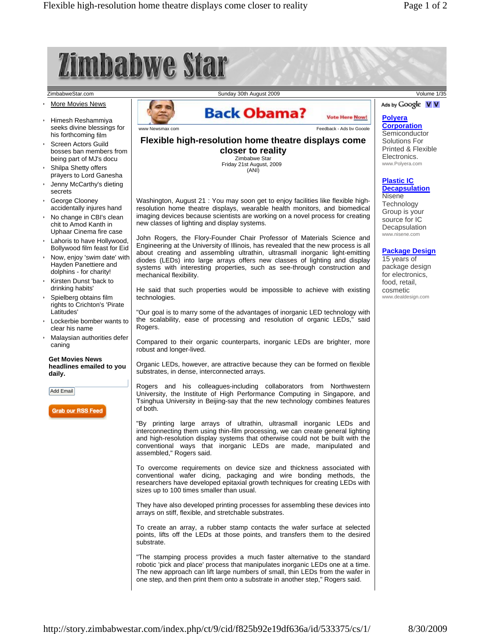